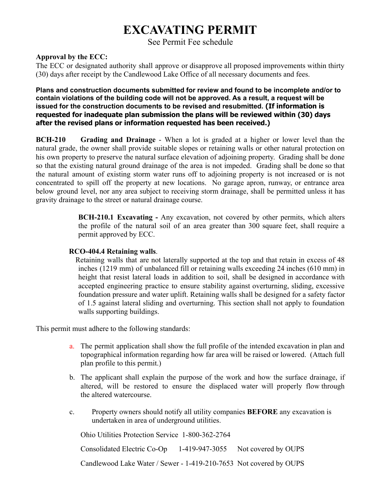## **EXCAVATING PERMIT**

See Permit Fee schedule

## **Approval by the ECC:**

The ECC or designated authority shall approve or disapprove all proposed improvements within thirty (30) days after receipt by the Candlewood Lake Office of all necessary documents and fees.

## **Plans and construction documents submitted for review and found to be incomplete and/or to contain violations of the building code will not be approved. As a result, a request will be issued for the construction documents to be revised and resubmitted. (If information is requested for inadequate plan submission the plans will be reviewed within (30) days after the revised plans or information requested has been received.)**

**BCH-210 Grading and Drainage** - When a lot is graded at a higher or lower level than the natural grade, the owner shall provide suitable slopes or retaining walls or other natural protection on his own property to preserve the natural surface elevation of adjoining property. Grading shall be done so that the existing natural ground drainage of the area is not impeded. Grading shall be done so that the natural amount of existing storm water runs off to adjoining property is not increased or is not concentrated to spill off the property at new locations. No garage apron, runway, or entrance area below ground level, nor any area subject to receiving storm drainage, shall be permitted unless it has gravity drainage to the street or natural drainage course.

> **BCH-210.1 Excavating -** Any excavation, not covered by other permits, which alters the profile of the natural soil of an area greater than 300 square feet, shall require a permit approved by ECC.

## **RCO-404.4 Retaining walls**.

Retaining walls that are not laterally supported at the top and that retain in excess of 48 inches (1219 mm) of unbalanced fill or retaining walls exceeding 24 inches (610 mm) in height that resist lateral loads in addition to soil, shall be designed in accordance with accepted engineering practice to ensure stability against overturning, sliding, excessive foundation pressure and water uplift. Retaining walls shall be designed for a safety factor of 1.5 against lateral sliding and overturning. This section shall not apply to foundation walls supporting buildings.

This permit must adhere to the following standards:

- a. The permit application shall show the full profile of the intended excavation in plan and topographical information regarding how far area will be raised or lowered. (Attach full plan profile to this permit.)
- b. The applicant shall explain the purpose of the work and how the surface drainage, if altered, will be restored to ensure the displaced water will properly flow through the altered watercourse.
- c. Property owners should notify all utility companies **BEFORE** any excavation is undertaken in area of underground utilities.

Ohio Utilities Protection Service 1-800-362-2764

Consolidated Electric Co-Op 1-419-947-3055 Not covered by OUPS Candlewood Lake Water / Sewer - 1-419-210-7653 Not covered by OUPS